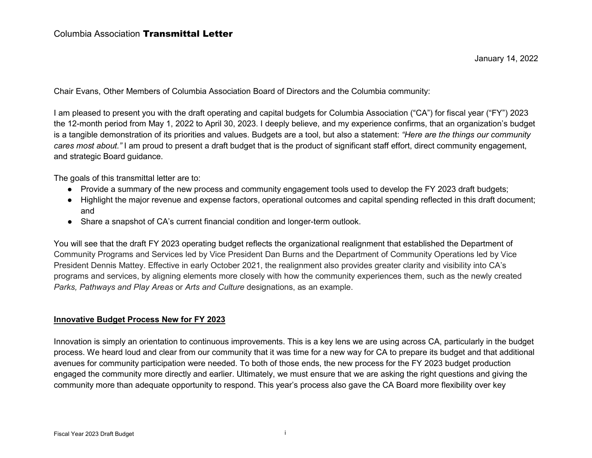January 14, 2022

Chair Evans, Other Members of Columbia Association Board of Directors and the Columbia community:

I am pleased to present you with the draft operating and capital budgets for Columbia Association ("CA") for fiscal year ("FY") 2023 the 12-month period from May 1, 2022 to April 30, 2023. I deeply believe, and my experience confirms, that an organization's budget is a tangible demonstration of its priorities and values. Budgets are a tool, but also a statement: *"Here are the things our community cares most about."* I am proud to present a draft budget that is the product of significant staff effort, direct community engagement, and strategic Board guidance.

The goals of this transmittal letter are to:

- Provide a summary of the new process and community engagement tools used to develop the FY 2023 draft budgets;
- Highlight the major revenue and expense factors, operational outcomes and capital spending reflected in this draft document; and
- Share a snapshot of CA's current financial condition and longer-term outlook.

You will see that the draft FY 2023 operating budget reflects the organizational realignment that established the Department of Community Programs and Services led by Vice President Dan Burns and the Department of Community Operations led by Vice President Dennis Mattey. Effective in early October 2021, the realignment also provides greater clarity and visibility into CA's programs and services, by aligning elements more closely with how the community experiences them, such as the newly created *Parks, Pathways and Play Areas* or *Arts and Culture* designations, as an example.

## **Innovative Budget Process New for FY 2023**

Innovation is simply an orientation to continuous improvements. This is a key lens we are using across CA, particularly in the budget process. We heard loud and clear from our community that it was time for a new way for CA to prepare its budget and that additional avenues for community participation were needed. To both of those ends, the new process for the FY 2023 budget production engaged the community more directly and earlier. Ultimately, we must ensure that we are asking the right questions and giving the community more than adequate opportunity to respond. This year's process also gave the CA Board more flexibility over key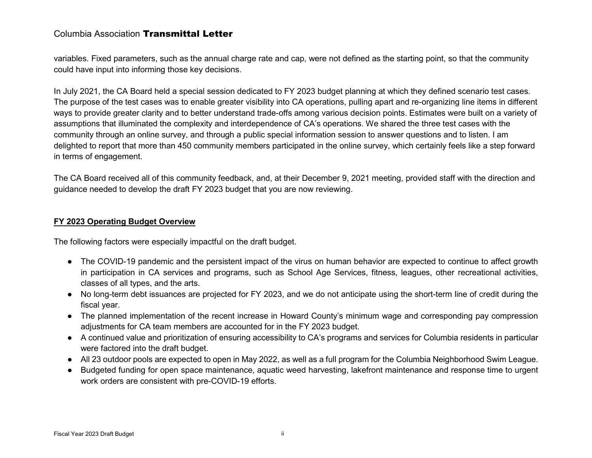variables. Fixed parameters, such as the annual charge rate and cap, were not defined as the starting point, so that the community could have input into informing those key decisions.

In July 2021, the CA Board held a special session dedicated to FY 2023 budget planning at which they defined scenario test cases. The purpose of the test cases was to enable greater visibility into CA operations, pulling apart and re-organizing line items in different ways to provide greater clarity and to better understand trade-offs among various decision points. Estimates were built on a variety of assumptions that illuminated the complexity and interdependence of CA's operations. We shared the three test cases with the community through an online survey, and through a public special information session to answer questions and to listen. I am delighted to report that more than 450 community members participated in the online survey, which certainly feels like a step forward in terms of engagement.

The CA Board received all of this community feedback, and, at their December 9, 2021 meeting, provided staff with the direction and guidance needed to develop the draft FY 2023 budget that you are now reviewing.

### **FY 2023 Operating Budget Overview**

The following factors were especially impactful on the draft budget.

- The COVID-19 pandemic and the persistent impact of the virus on human behavior are expected to continue to affect growth in participation in CA services and programs, such as School Age Services, fitness, leagues, other recreational activities, classes of all types, and the arts.
- No long-term debt issuances are projected for FY 2023, and we do not anticipate using the short-term line of credit during the fiscal year.
- The planned implementation of the recent increase in Howard County's minimum wage and corresponding pay compression adjustments for CA team members are accounted for in the FY 2023 budget.
- A continued value and prioritization of ensuring accessibility to CA's programs and services for Columbia residents in particular were factored into the draft budget.
- All 23 outdoor pools are expected to open in May 2022, as well as a full program for the Columbia Neighborhood Swim League.
- Budgeted funding for open space maintenance, aquatic weed harvesting, lakefront maintenance and response time to urgent work orders are consistent with pre-COVID-19 efforts.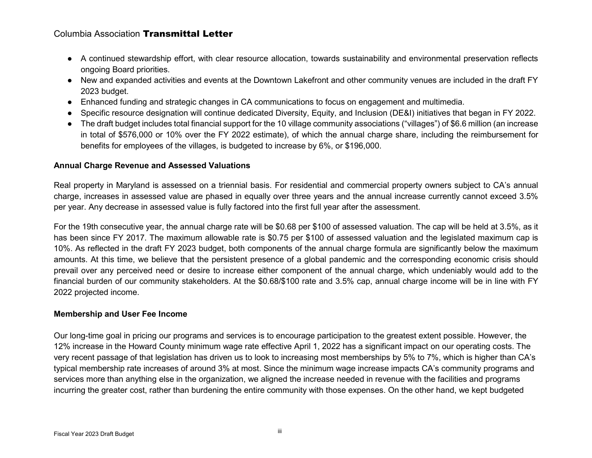- A continued stewardship effort, with clear resource allocation, towards sustainability and environmental preservation reflects ongoing Board priorities.
- New and expanded activities and events at the Downtown Lakefront and other community venues are included in the draft FY 2023 budget.
- Enhanced funding and strategic changes in CA communications to focus on engagement and multimedia.
- Specific resource designation will continue dedicated Diversity, Equity, and Inclusion (DE&I) initiatives that began in FY 2022.
- The draft budget includes total financial support for the 10 village community associations ("villages") of \$6.6 million (an increase in total of \$576,000 or 10% over the FY 2022 estimate), of which the annual charge share, including the reimbursement for benefits for employees of the villages, is budgeted to increase by 6%, or \$196,000.

### **Annual Charge Revenue and Assessed Valuations**

Real property in Maryland is assessed on a triennial basis. For residential and commercial property owners subject to CA's annual charge, increases in assessed value are phased in equally over three years and the annual increase currently cannot exceed 3.5% per year. Any decrease in assessed value is fully factored into the first full year after the assessment.

For the 19th consecutive year, the annual charge rate will be \$0.68 per \$100 of assessed valuation. The cap will be held at 3.5%, as it has been since FY 2017. The maximum allowable rate is \$0.75 per \$100 of assessed valuation and the legislated maximum cap is 10%. As reflected in the draft FY 2023 budget, both components of the annual charge formula are significantly below the maximum amounts. At this time, we believe that the persistent presence of a global pandemic and the corresponding economic crisis should prevail over any perceived need or desire to increase either component of the annual charge, which undeniably would add to the financial burden of our community stakeholders. At the \$0.68/\$100 rate and 3.5% cap, annual charge income will be in line with FY 2022 projected income.

#### **Membership and User Fee Income**

Our long-time goal in pricing our programs and services is to encourage participation to the greatest extent possible. However, the 12% increase in the Howard County minimum wage rate effective April 1, 2022 has a significant impact on our operating costs. The very recent passage of that legislation has driven us to look to increasing most memberships by 5% to 7%, which is higher than CA's typical membership rate increases of around 3% at most. Since the minimum wage increase impacts CA's community programs and services more than anything else in the organization, we aligned the increase needed in revenue with the facilities and programs incurring the greater cost, rather than burdening the entire community with those expenses. On the other hand, we kept budgeted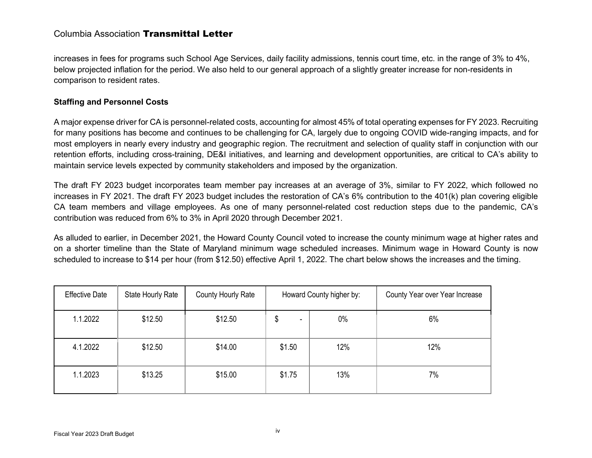increases in fees for programs such School Age Services, daily facility admissions, tennis court time, etc. in the range of 3% to 4%, below projected inflation for the period. We also held to our general approach of a slightly greater increase for non-residents in comparison to resident rates.

### **Staffing and Personnel Costs**

A major expense driver for CA is personnel-related costs, accounting for almost 45% of total operating expenses for FY 2023. Recruiting for many positions has become and continues to be challenging for CA, largely due to ongoing COVID wide-ranging impacts, and for most employers in nearly every industry and geographic region. The recruitment and selection of quality staff in conjunction with our retention efforts, including cross-training, DE&I initiatives, and learning and development opportunities, are critical to CA's ability to maintain service levels expected by community stakeholders and imposed by the organization.

The draft FY 2023 budget incorporates team member pay increases at an average of 3%, similar to FY 2022, which followed no increases in FY 2021. The draft FY 2023 budget includes the restoration of CA's 6% contribution to the 401(k) plan covering eligible CA team members and village employees. As one of many personnel-related cost reduction steps due to the pandemic, CA's contribution was reduced from 6% to 3% in April 2020 through December 2021.

As alluded to earlier, in December 2021, the Howard County Council voted to increase the county minimum wage at higher rates and on a shorter timeline than the State of Maryland minimum wage scheduled increases. Minimum wage in Howard County is now scheduled to increase to \$14 per hour (from \$12.50) effective April 1, 2022. The chart below shows the increases and the timing.

| <b>Effective Date</b> | State Hourly Rate | County Hourly Rate | Howard County higher by:       |       | County Year over Year Increase |
|-----------------------|-------------------|--------------------|--------------------------------|-------|--------------------------------|
| 1.1.2022              | \$12.50           | \$12.50            | \$<br>$\overline{\phantom{0}}$ | $0\%$ | 6%                             |
| 4.1.2022              | \$12.50           | \$14.00            | \$1.50                         | 12%   | 12%                            |
| 1.1.2023              | \$13.25           | \$15.00            | \$1.75                         | 13%   | 7%                             |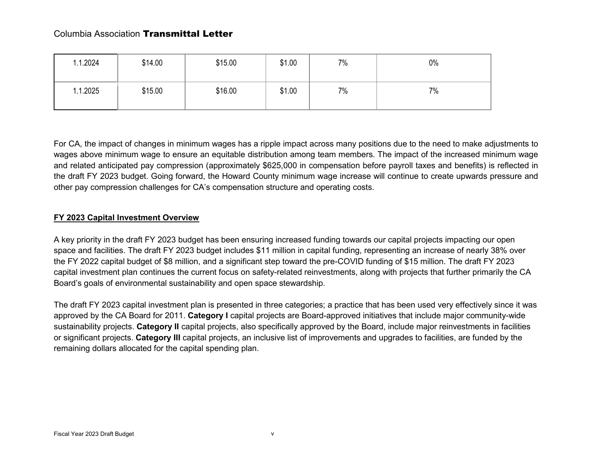| 1.1.2024 | \$14.00 | \$15.00 | \$1.00 | 7% | 0% |
|----------|---------|---------|--------|----|----|
| 1.1.2025 | \$15.00 | \$16.00 | \$1.00 | 7% | 7% |

For CA, the impact of changes in minimum wages has a ripple impact across many positions due to the need to make adjustments to wages above minimum wage to ensure an equitable distribution among team members. The impact of the increased minimum wage and related anticipated pay compression (approximately \$625,000 in compensation before payroll taxes and benefits) is reflected in the draft FY 2023 budget. Going forward, the Howard County minimum wage increase will continue to create upwards pressure and other pay compression challenges for CA's compensation structure and operating costs.

# **FY 2023 Capital Investment Overview**

A key priority in the draft FY 2023 budget has been ensuring increased funding towards our capital projects impacting our open space and facilities. The draft FY 2023 budget includes \$11 million in capital funding, representing an increase of nearly 38% over the FY 2022 capital budget of \$8 million, and a significant step toward the pre-COVID funding of \$15 million. The draft FY 2023 capital investment plan continues the current focus on safety-related reinvestments, along with projects that further primarily the CA Board's goals of environmental sustainability and open space stewardship.

The draft FY 2023 capital investment plan is presented in three categories; a practice that has been used very effectively since it was approved by the CA Board for 2011. **Category I** capital projects are Board-approved initiatives that include major community-wide sustainability projects. **Category II** capital projects, also specifically approved by the Board, include major reinvestments in facilities or significant projects. **Category III** capital projects, an inclusive list of improvements and upgrades to facilities, are funded by the remaining dollars allocated for the capital spending plan.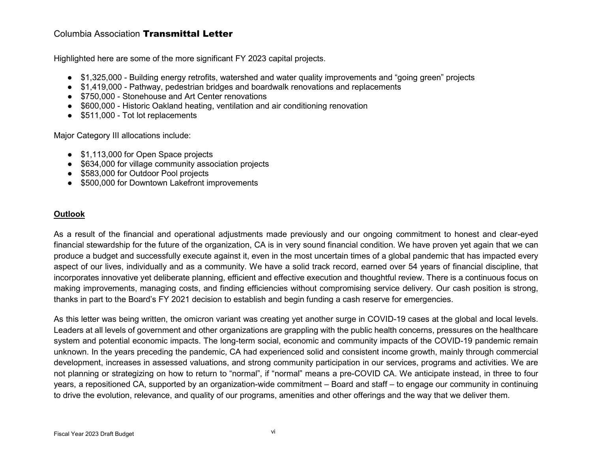Highlighted here are some of the more significant FY 2023 capital projects.

- \$1,325,000 Building energy retrofits, watershed and water quality improvements and "going green" projects
- \$1,419,000 Pathway, pedestrian bridges and boardwalk renovations and replacements
- \$750,000 Stonehouse and Art Center renovations
- \$600,000 Historic Oakland heating, ventilation and air conditioning renovation
- \$511,000 Tot lot replacements

Major Category III allocations include:

- \$1,113,000 for Open Space projects
- \$634,000 for village community association projects
- \$583,000 for Outdoor Pool projects
- \$500,000 for Downtown Lakefront improvements

## **Outlook**

As a result of the financial and operational adjustments made previously and our ongoing commitment to honest and clear-eyed financial stewardship for the future of the organization, CA is in very sound financial condition. We have proven yet again that we can produce a budget and successfully execute against it, even in the most uncertain times of a global pandemic that has impacted every aspect of our lives, individually and as a community. We have a solid track record, earned over 54 years of financial discipline, that incorporates innovative yet deliberate planning, efficient and effective execution and thoughtful review. There is a continuous focus on making improvements, managing costs, and finding efficiencies without compromising service delivery. Our cash position is strong, thanks in part to the Board's FY 2021 decision to establish and begin funding a cash reserve for emergencies.

As this letter was being written, the omicron variant was creating yet another surge in COVID-19 cases at the global and local levels. Leaders at all levels of government and other organizations are grappling with the public health concerns, pressures on the healthcare system and potential economic impacts. The long-term social, economic and community impacts of the COVID-19 pandemic remain unknown. In the years preceding the pandemic, CA had experienced solid and consistent income growth, mainly through commercial development, increases in assessed valuations, and strong community participation in our services, programs and activities. We are not planning or strategizing on how to return to "normal", if "normal" means a pre-COVID CA. We anticipate instead, in three to four years, a repositioned CA, supported by an organization-wide commitment – Board and staff – to engage our community in continuing to drive the evolution, relevance, and quality of our programs, amenities and other offerings and the way that we deliver them.